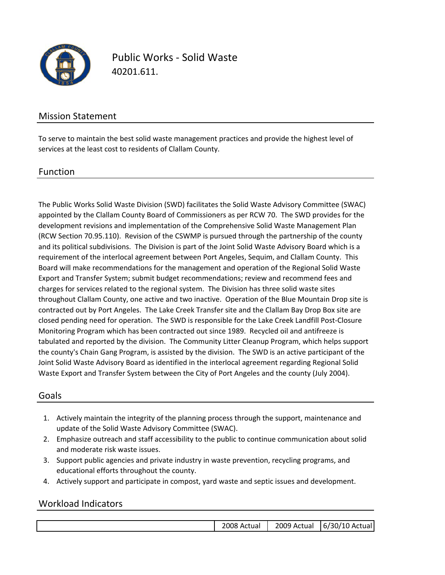

Public Works ‐ Solid Waste 40201.611.

### Mission Statement

To serve to maintain the best solid waste management practices and provide the highest level of services at the least cost to residents of Clallam County.

#### Function

The Public Works Solid Waste Division (SWD) facilitates the Solid Waste Advisory Committee (SWAC) appointed by the Clallam County Board of Commissioners as per RCW 70. The SWD provides for the development revisions and implementation of the Comprehensive Solid Waste Management Plan (RCW Section 70.95.110). Revision of the CSWMP is pursued through the partnership of the county and its political subdivisions. The Division is part of the Joint Solid Waste Advisory Board which is a requirement of the interlocal agreement between Port Angeles, Sequim, and Clallam County. This Board will make recommendations for the management and operation of the Regional Solid Waste Export and Transfer System; submit budget recommendations; review and recommend fees and charges for services related to the regional system. The Division has three solid waste sites throughout Clallam County, one active and two inactive. Operation of the Blue Mountain Drop site is contracted out by Port Angeles. The Lake Creek Transfer site and the Clallam Bay Drop Box site are closed pending need for operation. The SWD is responsible for the Lake Creek Landfill Post‐Closure Monitoring Program which has been contracted out since 1989. Recycled oil and antifreeze is tabulated and reported by the division. The Community Litter Cleanup Program, which helps support the county's Chain Gang Program, is assisted by the division. The SWD is an active participant of the Joint Solid Waste Advisory Board as identified in the interlocal agreement regarding Regional Solid Waste Export and Transfer System between the City of Port Angeles and the county (July 2004).

#### Goals

- 1. Actively maintain the integrity of the planning process through the support, maintenance and update of the Solid Waste Advisory Committee (SWAC).
- 2. Emphasize outreach and staff accessibility to the public to continue communication about solid and moderate risk waste issues.
- 3. Support public agencies and private industry in waste prevention, recycling programs, and educational efforts throughout the county.
- 4. Actively support and participate in compost, yard waste and septic issues and development.

### Workload Indicators

| 2008 Actual | 2009 Actual | 6/30/10 Actual |
|-------------|-------------|----------------|